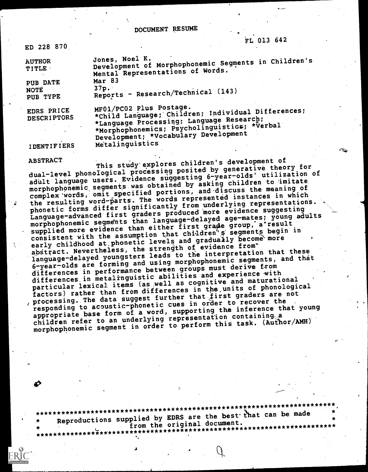DOCUMENT RESUME

Mental Representations of Words.<br>Mar 83

ED 228 870

AUTHOR Jones, Noel K. TITLE Development of Morphophonemic Segments in Children's

PUB DATE Mar<br>
NOTE 37p. NOTE 37PE Reports - Research/Technical (143)

EDRS PRICE MF01/Pc02 Plus Postage. DESCRIPTORS \*Child LadguagerChildren; Individual Differences; \*Language Processimg; Language Research; \*Morphophonemics; Psycholinguistics; \*Verbal Development; \*Vocabulary Development IDENTIFIERS Metalinguistics

FL'013 642

ABSTRACT

This study'explores children's development of This study exploits shared by generative theory for<br>dual-level phonological processing posited by generative theory for adult language users. Evidence suggesting 6-year-olds' utilization of morphophonemic segments was obtained by asking children to imitate complex 'words, omit specified portions, and-discuss the meaning of the resulting word-parts. The words represented instances in which phonetic forms differ significantly from underlying representations. Language-advanced first graders produced more evidence suggesting morphophonemic segments than language-delayed age-mates; young adults supplied more evidence than either first grade group, a'result consistent with the assumption that children<sup>4</sup> s segments begin in early childhood at phonetic levels and gradually become more abstract. Nevertheless, the strength of evidence from language-delayed youngsters leads to the interpretation that these 6-year-olds are forming and using morphophonemic segments, and that differences in performance between groups must derive from differences in metalinguistic abilities and experience with particular lexical items (as well as cognitive and maturational factors) rather than from differences in the.units of phonological , processing. The data suggest further that first graders are not responding to acoustic-phonetic cues in order to recover the appropriate base form of a word, supporting the inference that young children refer to an underlying representation containing morphophonemic segment in order to perform this task. (Author/AMH)

\*\*\*\*\*\*\*\*\*\*\*\*\*\*\*\*\*\*\*\*\*\*\*\*\*\*\*\*\*\*\*\*\*\*\*\*\*\*\*\*\*\*\*\*\*\*\*\*\*\*\*\*\*\*\*\*\*\*\*\*\*\*\*\*\*\*\*\*\*\*\* Reproductions supplied by EDRS are the best that can be made<br>from the original document. from the original document.

\*\*\*\*\*\*\*\*\*\*\*\*\*\*\*\*\*\*\*\*\*\*\*\*\*\*\*\*\*\*\*\*\*\*\*\*\*\*\*\*\*\*\*\*\*\*\*\*\*\*\*\*\*\*\*\*\*\*\*\*\*\*\*\*\*\*\*\*\*\*\*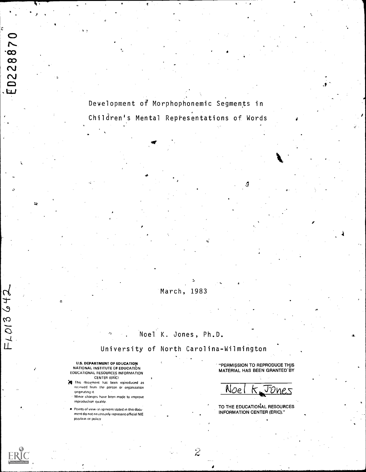Deyelopment of Morphophonemic Segments in Children's Mental Representations of Words

## March, 1983

## Noel K. Jones, Ph.D.

University of North Carolina-Wilmington

 $\tilde{z}$ 

U.S. DEPARTMENT OF EDUCATION NATIONAL INSTITUTE OF EDUCATION EDUCATIONAL RESOURCES INFORMATION CENTER (ERIC)

 $\alpha$  and  $\alpha$ 

ED228870

 $F1013642$ 

- This document has been reproduced as received horn the person or organization originating it.
	- Minor changes have been made to improve reproduction quality.
- Points of view or opinions stated in this document do not necessardy represent official NIE position or palicy

**"PERMISSION TO REPRODUCE THIS** MATERIAL HAS BEEN GRANTED BY

<u>Noel K Jones</u>

TO THE EDUCATIONAL RESOURCES INFORMATION CENTER (ERIC)."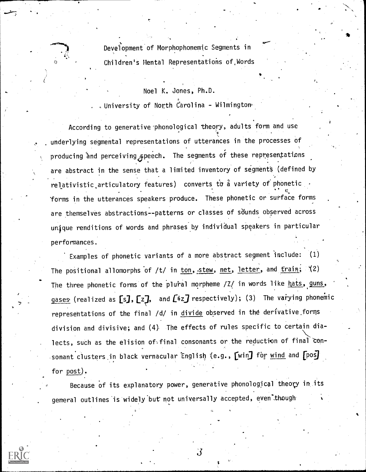Development of Morphophonemic Segments in Children's Mental Representations of,Words

#### Noel K. Jones, Ph.D.

. University of North Carolina - Wilmington.

According to generative phonological theory, adults form and use underlying segmental representations of utterances in the processes of producing and perceiving speech. The segments of these representations are abstract in the sense that a limited inventory of segments (defined by relativistic articulatory features) converts to a variety of phonetic forms in the utterances speakers produce. These phonetic or surface forms are themselves abstractions--patterns or classes of sounds observed across unique renditions of words and phrases by individual speakers in particular performances.

Examples of phonetic variants of a more abstract segment include: (1) The positional allomorphs of /t/ in ton, stew, net, letter, and train; (2) The three phonetic forms of the plural morpheme  $/Z/$  in words like hats, guns, gases (realized as [s], [z], and [iz] respectively); (3) The varying phonemic representations of the final /d/ in divide observed in the derivative forms division and divisive; and (4). The effects of rules specific to certain dia- \ lects, such as the elision of final consonants or the reduction of final consonant clusters in black vernacular English (e.g., [win] for wind and [pos] for post).

Because of its explanatory power, generative phonological theory in its general outlines is widely but not universally accepted, even though

-3

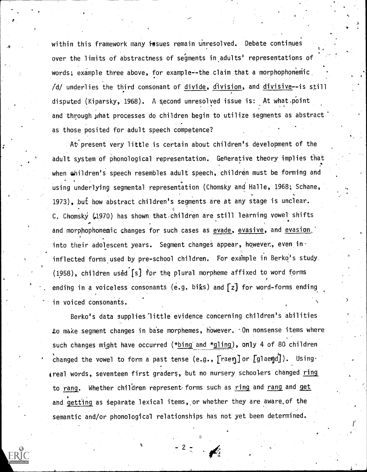within this framework many issues remain unresolved. Debate continues over the limits of abstractness of segments in.adults' representations of words; example three above, for example--the claim that a morphophonemic  $/d$  underlies the third consonant of divide, division, and divisive--is still disputed (Kiparsky, 1968). A second unresolved issue is: At what.point and through what processes do children begin to utilize segments as abstract as those posited for adult speech 'competence?

 $\lambda$  . The set of  $\lambda$ 

At present very little is certain about children's development of the adult system of phonological representation. Generative theory implies that when children's speech resembles adult speech, children must be forming and using underlying segmental representation (Chomsky and Halle, 1968; Schane, 1973), but how abstract children's segments are at any stage is unclear. C. Chomsky (1970) has shown that children are still learning vowel shifts and morphophonemic changes for such cases as evade, evasive, and evasion. into their adolescent years. Segment changes appear, however, even in inflected forms used by pre-school children. For example in Berko's study  $(1958)$ , children used  $[s]$  for the plural morpheme affixed to word forms ending in a voiceless consonants (e.g. biks) and  $[z]$  for word-forms ending. in voiced consonants.

Berko's data supplies little evidence concerning children's abilities to make segment changes in base morphemes, however. On nonsense items where such changes might have occurred (\*bing and \*gling), only 4 of 80. children changed the vowel to form a past tense (e.g.,  $[$ raen] or  $[]$ glaend]). Using. greal words, seventeen first graders, but no nursery schoolers changed ring to rang. Whether children represent forms such as ring and rang and get and getting as separate lexical items, or whether they are aware of the semantic and/or phonological relationships has not yet been determined.

 $\circ$ 

 $\cdot$  . The set of  $\mathcal{L}_1$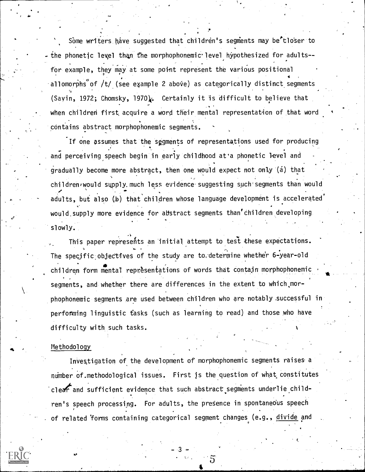Some writers have suggested that children's segments may be tloser to - the phonetic level than the morphophonemic level hypothesized for adults-for example, they may at some point represent the various positional allomorphs of  $/t/$  (see example 2 above) as categorically distinct segments (Sayin, 1972; Chomsky, 1970). Certainly it is difficult to believe that when children first acquire a word their mental representation of that word contains abstract morphophonemic segments.

If one assumes that the segments of representations used for producing and perceiving speech begin in early childhood at'a phonetic level and gradually become more abstract, then one would expect not only (a) that children/would supply. much less evidence suggesting such segments than would adults, but also (b) that children whose language development is accelerated whose  $\blacksquare$ would supply more evidence for abstract segments than'children developing. slowly.

This paper represents an initial attempt to test these expectations. The specific objectives of the study are to determine whether 6-year-old children form mental representations of words that contain morphophonemic segments, and whether there are differences in the extent to which,morphophonemic segments are used between children who are notably successful in performing linguistic tasks (such as learning to read) and those who have difficulty with such tasks.

#### Methodology

Investigation of the development of morphophonemic segments raises a number of methodological issues. First is the question of what constitutes clear and sufficient evidence that such abstract segments underlie child-, ren's speech processing. For adults, the presence in spontaneous speech of related forms containing categorical segment changes (e.g., divide and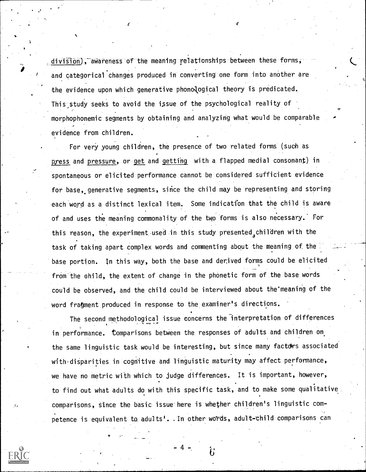division), awareness of the meaning relationships between these forms, and categorical changes produced in converting one form into another are the evidence upon which generative phonological theory is predicated. This study seeks to avoid the issue of the psychological reality of morphophonemic segments by obtaining and analyzing what would be comparable evidence from children.

For very young children, the presence of two related forms (such as press and pressure, or get and getting with a flapped medial consonant) in spontaneous or elicited performance cannot be considered sufficient evidence for base, generative segments, since the child may be representing and storing each word as a distinct lexical item. Some indication that the child is aware of and uses the meaning commonality of the two forms is also necessary.' For this reason, the experiment used in this study presented children with the task of taking apart complex words and commenting about the meaning of the base portion. In this way, both the base and denived forms could be elicited from the child, the extent of change in the phonetic form of the base words could be observed, and the child could be interviewed about the"meaning of the word fragment produced in response to the examiner's directions.

The second methodological issue concerns the interpretation of differences in performance. Comparisons between the responses of adults and children on the same linguistic task would be interesting, but since many factdrs associated with disparities in cognitive and linguistic maturity may affect performance, we have no metric with which to judge differences. It is important, however, to find out what adults do with this specific task, and to make some qualitative comparisons, since the basic issue here is whether children's linguistic competence is equivalent to adults<sup>1</sup>. In other words, adult-child comparisons can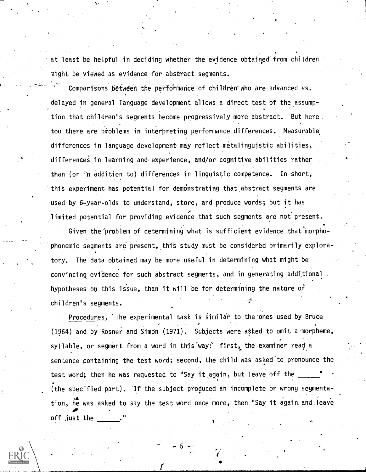at least be helpful in deciding whether the evidence obtained from children might be viewed as evidence for abstract segments.

Comparisons between the performance of children who are advanced vs. delayed in general language development allows a direct test of the assump- ,, tion that children's segments become progressively more abstract. But here too there are problems in interpreting performance differences. Measurable differences in language development may reflect metalinguistic abilities, differences in learning and experience, and/or cognitive abilities rather than (or in addition to) differences in linguistic competence. In short, this experiment has potential for demonstrating that abstract segments are used by 6-year-olds to understand, store, and produce words; but it has limited potential for providing evidence that such segments are not present.

Given the problem of determining what is sufficient evidence that morphophonemic segments are present, this study must be considered primarily exploratory. The data obtained may be more useful in determining what might be convincing evidence for such abstract segments, and in generating additional hypotheses on this issue, than it will be for determining the nature of children's segments.

Procedures. The experimental task is similar to the ones used by Bruce (1964) and by Rosner and Simon (1971). Subjects were asked to omit a morpheme, syllable, or segment from a word in this way: first, the examiner read a sentence containing the test word; second, the child was asked to pronounce the test word; then he was requested to "Say it again, but leave off the (the specified part). If the subject produced an incomplete or wrong segmentation, he was asked to say the test word once more, then "Say it again and leave **or** and the set of the set of the set of the set of the set of the set of the set of the set of the set of the set of the set of the set of the set of the set of the set of the set of the set of the set of the set of the off just the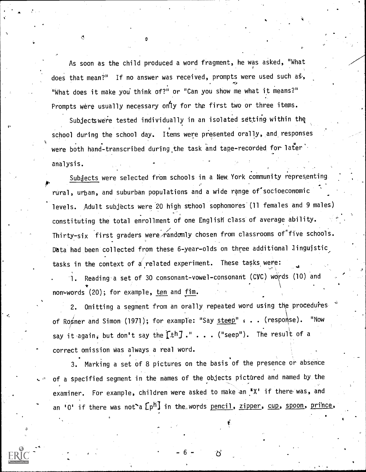As soon as the child produced a word fragment, he was asked, "What does that mean?" If no answer was received, prompts were used such as, "What does it make you' think of?" or "Can you show me what it means?" Prompts were usually necessary on<sup>ty</sup> for the first two or three items.

Subjectswere tested individually in an isolated setting within the school during the school day. Items were presented orally, and responses the school during were both hand-transcribed during the task and tape-recorded for later analysis.

Subjects were selected from schools in a New York community representing  $\bullet$  . The set of  $\bullet$ rural, urban, and suburban populations and a wide range of socioeconomic levels. Adult subjects were 20 high sthool sophomores'(11 females and 9 males) constituting the total enrollment of one English class of average ability. Thirty-six first graders were  $r$ andomly chosen from classrooms of five schools. Data had been collected from these 6-year-olds on three additional linguistic, tasks in the context of a related experiment. These tasks were:

Reading a set of 30 consonant-vowel-consonant (CVC) words (10) and  $\mathbf{r}$  and  $\mathbf{r}$ non=words (20); for example, ten and fim.

2. Omitting a segment from an orally repeated word using the procedures of Rogner and Simon (1971); for example: "Say steep" : . . (response). "Now say it again, but don't say the  $\Gamma\text{th}J$  ." . . . ("seep"). The result of a correct omission Was always a real word.

3. Marking a set of 8 pictures on the basis of the presence or absence of a specified segment in the names of the objects pictured and named by the examiner. For example, children were asked to make an "X' if there was, and an '0' if there was not a  $\lceil p^h \rceil$  in the words pencil, zipper, cup, spoon, prince,

-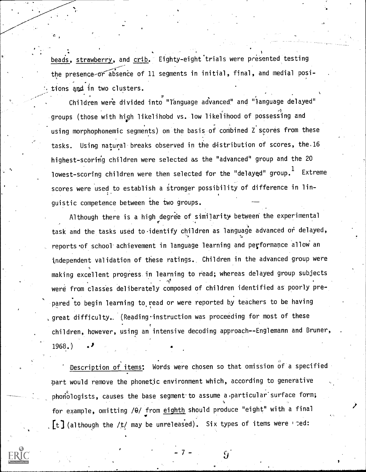beads, strawberry, and crib. Eighty-eight trials were presented testing the presence-or absence of 11 segments in initial, final, and medial posi-, tions and in two clusters.

Children were divided into "language advanced" and "language delayed" groups (those with high likelihood vs. low likelihood of possessing and using morphophonemic segments) on the basis of combined Z scores from these tasks. Using natural breaks observed in the distribution of scores, the 16 highest-scoring children were selected as the "advanced" group and the 20 lowest-scoring children were then selected for the "delayed" group. Extreme scores were used to establish a stronger possibility of difference in linguistic competence between the two groups.

Although there is a high degree of similarity between the experimental task and the tasks used to identify children as language advanced or delayed, reports of school achievement in language learning and performance allow an independent validation of these ratings. Children in the advanced group were making excellent progress in learning to read; whereas delayed group subjects were from classes deliberately composed of children identified as poorly prepared to begin learning to read or were reported by teachers to be having , great difficulty. (Reading instruction was proceeding for most of these children, however, using an intensive decoding approach--Englemann and Bruner,  $1968.$ 

Description of items: Words were chosen so that omission of a specified part would remove the phonetic environment which, according to generative phonologists, causes the base segment to assume a particular surface form; for example, omitting /0/ from eighth should produce "eight" with a final [t] (although the /t/ may be unreleased). Six types of items were need:

 $\prime$ 

 $\overline{9}$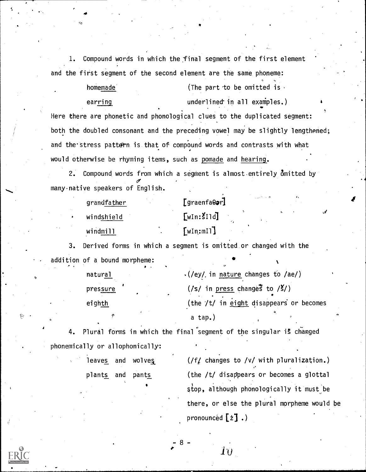1. Compound words in which the final segment of the first element and the first segment of the second element are the same phoneme:

# homemade (The part to be omitted is  $\cdot$ earring earring underlined in all examples.)

 $\ddot{\phantom{1}}$ 

. . Here there are phonetic and phonological clues to the duplicated segment: both the doubled consonant and the preceding vowel may' be slightly lengthened; and the stress pattern is that of compound words and contrasts with what would otherwise be rhyming items, such as pomade and hearing.

2. Compound words from which a segment is almost entirely Omitted by many. native speakers of English.

| grandfather | $[graenfa\Theta\bullet r]$ | . <b>∩</b> |  |
|-------------|----------------------------|------------|--|
| windshield  | [win:11d]<br>c,            |            |  |
| windmill    | [win:m]]                   |            |  |

3. Derived forms in which a segment is omitted or changed with the addition of a bound morpheme:

| natural  | $\cdot$ (/ey/ in nature changes to /ae/) |           |
|----------|------------------------------------------|-----------|
| pressure | $(7s/$ in press changes to $/5/$         |           |
| eighth   | (the /t/ in eight disappears or becomes  |           |
|          | a tap.)                                  | $\bullet$ |

4. Plural forms in which the final segment of the singular is changed phonemically or allophonically:

leaves and wolves  $(f / f)$  changes to /v/ with pluralization.) plants and pants (the /t/ disappears or becomes a glottal stop, although phonologically it must be there, or else the plural morpheme would be pronounced  $[z]$ .)

Îθ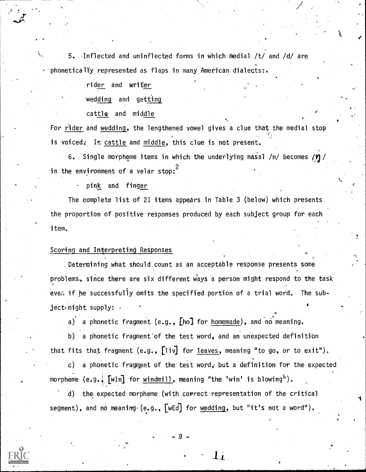5. Inflected and uninflected forms in which medial /t/ and /d/ are phoneticall)y represented as flaps in many American dialects:.

rider and writer

wedding and getting

cattle and middle

For rider and wedding, the lengthened vowel gives a clue that the medial stop is voiced. In cattle and middle, this clue is not present.

6. Single morpheme items in which the underlying nasal /n/ becomes  $/$ n/ in the environment of a velar stop:  $\overline{\phantom{a}}$ 

pink and finger

The complete list of 21 items appears in Table 3 (below) which presents the proportion of positive responses produced by each subject group for each item.  $\mathbf{v}$  and  $\mathbf{v}$ 

#### Scoring and Interpreting ReSponses

. Determining what should count as an acceptable response presents some problems, since there are six different ways a person might respond to the task even if he successfully omits the specified portion of a trial word. The sub $ject$ -might supply:  $\cdot$ 

a) a phonetic fragment (e.g.,  $[$ ho] for homemade), and no meaning.

b) a phonetic fragment'of the test word, and an unexpected definition that fits that fragment (e.g.,  $[1iv]$  for leaves, meaning "to go, or to exit").

c) a phonetic fragment of the test word, but a definition for the expected morpheme  $(e.g.$   $\sqrt{\text{win}}$  for windmill, meaning "the 'win' is blowing").

d) the expected morpheme (with correct representation of the critical segment), and no meaning (e.g.,  $[wEd]$  for  $wedding$ , but "it's not a word").</u>

 $\mathbf{1}_{\mathbf{1}}$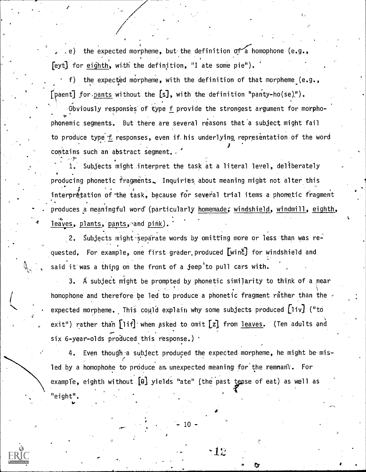the expected morpheme, but the definition  $\sigma f$  a homophone (e.g.,  $[eyt]$  for eighth, with the definition, "I ate some pie").

f) the expected morpheme, with the definition of that morpheme (e.g., [paent] for pants without the  $[s]$ , with the definition "panty-ho(se)").

Obviously responses of type f provide the strongest argument for morpho- , vphonemic segments. But there are several reasons that a subject might fail to produce type f responses, even if his underlying representation of the word contains such an abstract segment. . '

1. Subjects might interpret the task at a literal level, deliberately \* producing phonetic fragments.. Inquiries about meaning might not alter this interpretation of the task, because for several trial items a phonetic fragment . produces a meaningful word' (particularly homemade; windshield, windmill, eighth, leaves, plants, pants, and pink).

2. Subjects might separate words by omitting more or less than was requested. For example, one first grader produced [winc] for windshield and said it was a thing on the front of a jeep to pull cars with.

3. A subject might be prompted by phonetic similarity to think of a near homophone and therefore be led to produce a phonetic fragment rather than the  $\overline{\cdot}$  -  $\cdot$  -  $\cdot$ expected morpheme. This could explain why some subjects produced  $\lceil$ liv $\rceil$  ("to exit") rather than  $\lceil$ lif] when asked to omit  $\lceil z \rceil$  from leaves. (Ten adults and  $six 6 - year - olds produced this response.)$ 

4. Even though a subject produced the expected morpheme, he might be mis- $F_{\rm{max}}$  . The set of  $\mathcal{L}$ led by a homophone to produce an unexpected meaning for the remnant. For example, eighth without  $[0]$  yields "ate" (the past tense of eat) as well as "eight".

10

 $\cdot 12$ 

4

k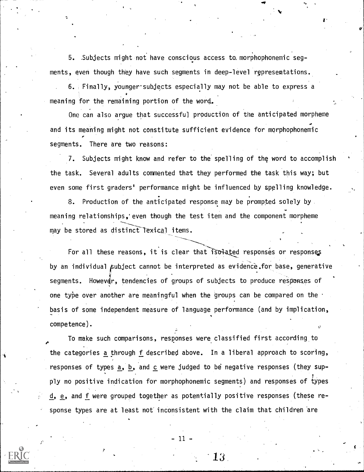5. Subjects might not have conscious access to. morphophonemic segments, even though they have such segments in deep-level representations.

 $6.$  Finally, younger subjects especially may not be able to express a meaning for the remaining portion of the word.

One can also argue that successful production of the anticipated morpheme and its meaning might not constitute sufficient evidence for morphophonemic segments. There are two reasons:

7. Subjects might know and refer to the spelling of the word to accomplish the task. Several adults commented that they performed the task this way; but even some first graders' performance might be influenced by spelling knowledge.

8. Production of the anticipated response may be prompted solely by meaning relationships,'even though the test item and the component morpheme may be stored as distinct Texical items.

For all these reasons, it is clear that isolated responses or responses by an individual subject cannot be interpreted as evidence.for base, generative segments. Howevar, tendencies of groups of subjects to produce responses of one type over another are meaningful when the groups can be compared on the basis of some independent measure of language performance (and by implication, competence).

To make such comparisons, responses wereclassified first according to the categories a through f described above. In a liberal approach to scoring, responses of types  $\underline{a}$ ,  $\underline{b}$ , and  $\underline{c}$  were judged to be negative responses (they supply no positive indication for morphophonemic segments) and responses of types d, e, and f were grouped together as potentially positive responses (these response types are at least not inconsistent with the claim that children are

11.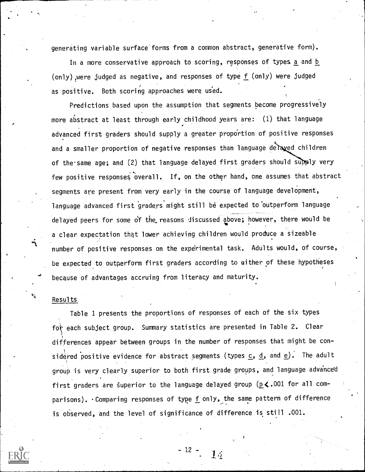generating variable surface forms from a common abstract, generative form).

In a more conservative approach to scoring, responses of types a and b (only) were judged as negative, and responses of type  $f$  (only) were judged as positive. Both scoring approaches were us'ed.

Predictions based upon the assumption that segments become progressively more abstract at least through early childhood years are: (1) that language advanced first graders should supply a greater proportion of positive responses and a smaller proportion of negative responses than language delayed children of the same age; and (2) that language delayed first graders should supply very few positive responses overall. If, on the other hand, one assumes that abstract segments are present from very early in the course of language development, language advanced first graders might still be expected to outperform language delayed peers for some df the.reasons discussed above; however, there would be a clear expectation that lower achieving children would produce a sizeable number of positive responses on the experimental task. Adults would, of course, be expected to outperform first graders according to either of these hypotheses because of advantages accruing from literacy and maturity.

#### Results

Table 1 presents the proportions of responses of each of the six types for each subject group. Summary statistics are presented in Table 2. Clear differences appear between groups in the number of responses that might be con-  $\qquad$ sidered positive evidence for abstract segments (types  $\underline{c}$ ,  $\underline{d}$ , and  $\underline{e})$ . The adult group is very clearly superior to both first grade groups, and language advanced first graders are superior to the language delayed group ( $p \le .001$  for all comparisons). Comparing responses of type  $f$  only, the same pattern of difference is observed, and the level of significance of difference is still .001.



- 12  $14 \,$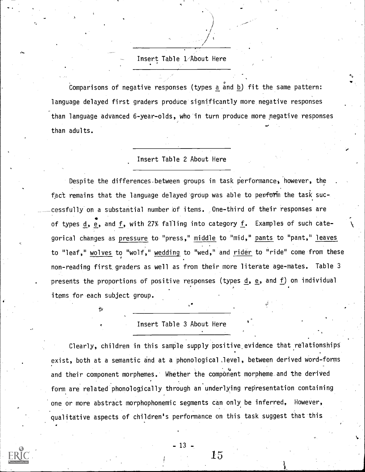## Insert Table L/About Here

Comparisons of negative responses (types a and b) fit the same pattern: language delayed first graders produce significantly more negative responses than language advanced 6-year-olds, who in turn produce more negative responses than adults.  $\bullet$  . The set of  $\bullet$ 

+4

#### Insert Table 2 About Here

Despite the differences between groups in task performance, however, the . fact remains that the language delayed group was able to perform the task successfully on a substantial number of items. One-third of their responses are of types d, e, and f, with 27% falling into category f. Examples of such categorical changes as pressure to "press," middle to "mid," pants to "pant," leaves to "leaf," wolves to "wolf, wedding to "wed," and rider to "ride" come from these non-reading first graders as well as from their more literate age-mates. Table 3 presents the proportions of positive responses (types  $\underline{d}$ ,  $\underline{e}$ , and  $\underline{f}$ ) on individual items for each subject group.

#### Insert Table 3 About Here

Clearly, children in this sample supply positive evidence that relationships exist, both at a semantic and at a phonological,level, between derived word-forms and their component morphemes. Whether the component morpheme and the derived form are related phonologically through an underlying representation containing one or more abstract morphophonemic segments can only be inferred, However, qualitative aspects of children's performance on this task suggest that this

 $-13 -$ 

 $15\,$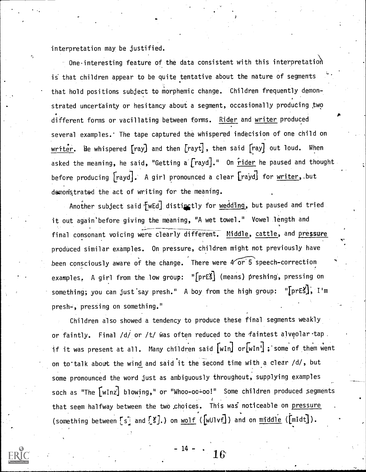interpretation may be justified.

 $-$  One interesting feature of the data consistent with this interpretation is' that children appear to be quite tentative about the nature of segments that hold positions subject to morphemic change. Children frequently demonstrated uncertainty or hesitancy about a segment, occasionally producing two different forms or vacillating between forms. Rider and writer produced several examples. The tape captured the whispered indecision of one child on writer. He whispered [ray] and then [rayt], then said [ray] out loud. When asked the meaning, he said, "Getting a  $[$ rayd $]$ ." On  $\frac{r}{\cdots}$  he paused and thought before producing [rayd]. A girl pronounced a clear [rayd] for writer, but demonstrated the act of writing for the meaning.

Another subject said [wEd] distinctly for wedding, but paused and tried it out again'before giving the meaning, "A wet towel." Vowel length and final consonant voicing were clearly different. Middle, cattle, and pressure produced similar examples. On pressure, children might not previously have been consciously aware of the change. There were  $4\sqrt{or\,5}$  speech-correction examples, A girl from the low group: "[prES] (means) preshing, pressing on something; you can just say presh." A boy from the high group: " $\lceil$ prEš $\rceil$ , I'm presh-, pressing on something."

Children also showed a tendency to produce these final segments weakly or faintly. Final /d/ or /t/ was often reduced to the faintest alveolar tap. if it was present at all. Many children said  $\lceil \text{wIn} \rceil$  or $\lceil \text{wIn} \rceil$  ; some of them went on to talk about the wind and said it the second time with a clear /d/, but some pronounced the word just as ambiguously throughout, supplying examples such as "The [wInz] blowing," or "Whoo-oo-oo!" Some children produced segments that seem halfway between the two choices. This was noticeable on pressure (something between [s] and [S].) on wolf ([wUlvf]) and on  $mid$  ([mIdt]).

 $-14 - 1$ 1 6.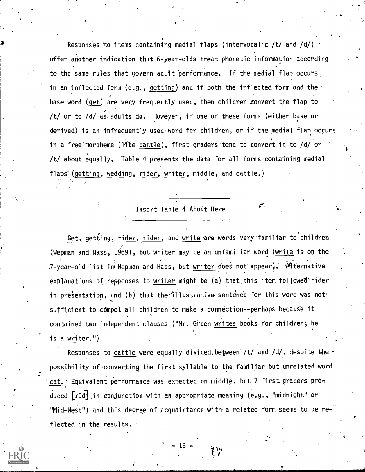Responses to items containing medial flaps (intervocalic /t/ and /d/) offer another indication that-6-year-olds treat phonetic information according to the same rules that govern adult performance. If the medial flap occurs in an inflected form (e.g., getting) and if both the inflected form and the base word (get) are very frequently used, then children convert the flap to /t/ or to /d/ as.adults do. Howeyer, if one of these forms (either base or derived) is an infrequently used word for children, or if the medial flap occurs in a free morpheme (like cattle), first graders tend to convert it to  $/d/$  or /t/ about equally. Table 4 presents the data for all forms containing medial flaps<sup>°</sup>(getting, wedding, rider, writer, middle, and cattle.)

### Insert Table 4 About Here

 $\mathscr{P}$  .

Get, getting, rider, rider, and write are words very familiar to children (Wepman and Hass, 1969), but writer may be an unfamiliar word (write is on the 7-year-old list in Wepman and Hass, but writer does not appear), Witernative explanations of responses to writer might be  $(a)$  that this item followed rider in presentation, and (b) that the illustrative sentence for this word was not sufficient to compel all children to make a connection--perhaps because it contained two independent clauses ("Mr. Green writes books for children; he is a writer.")

Responses to cattle were equally divided.between /t/ and /d/, despite the . possibility of converting the first syllable to the familiar but unrelated word cat. Equivalent performance was expected on middle, but 7 first graders produced [mid) in conjunction with an appropriate meaning (e.g., "midnight" or "Mid-West") and this degree of acquaintance with a related form seems to be reflected in the results.

- 15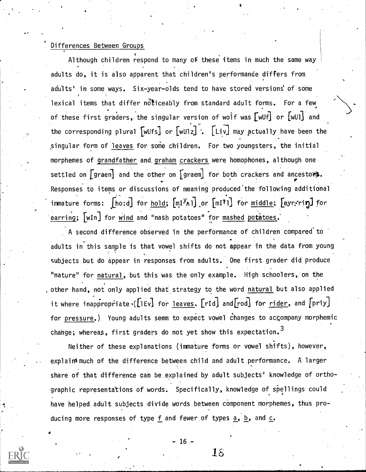#### Differences Between Groups

Although children respond to many of these items in much the same way adults do, it is also apparent that children's performance differs from adults' in some ways. Six-year-olds tend to have stored versions of some lexical items that differ noticeably from standard adult forms. For a few of these first graders, the singular version of wolf was  $\lceil \text{wUf} \rceil$  or  $\lceil \text{wUI} \rceil$  and the corresponding plural  $\lceil \text{wUfs} \rceil$  or  $\lceil \text{wU1z} \rceil$  .  $\lceil \text{Liv} \rceil$  may actually have been the singular form of leaves for some children. For two youngsters, the initial morphemes of grandfather and.graham crackers were homophones, although one settled on  $\lceil$  graen] and the other on  $\lceil$  graem] for both crackers and ancestors. Responses to items or discussions of meaning produced the following additional immature forms:  $\lceil \text{ho:d} \rceil$  for  $\text{hold}; \lceil \text{m1}^{\mathcal{Y}_{\mathsf{A}} \rceil}$  or  $\lceil \text{m1}^{\mathcal{Y}_{\mathsf{I}} \rceil} \rceil$  for  $\text{middle}; \lceil \text{eyr}, \text{right} \rceil$ earring;  $[wIn]$  for wind and "nash potatoes" for mashed potatoes.

A second difference observed in the performance of children compared to adults in this sample is that vowel shifts do not appear in the data from young subjects but do appear in responses from adults. One first grader did produce "nature" for natural, but this was the only example. High schoolers, on the other hand, not only applied that strategy to the word natural but also applied it where inappropriate ( $[1Ev]$  for leaves,  $[rId]$  and  $[rod]$  for rider, and  $[rriy]$ for pressure.) Young adults seem to expect vowel changes to accompany morphemic change; whereas, first graders do not yet show this expectation.<sup>3</sup>

Neither of these explanations (immature forms or vowel shifts), however, explainsmuch of the difference between child and adult performance. A larger share of that difference can be explained by adult subjects' knowledge of orthographic representations of words. Specifically, knowledge of spellings could have helped adult subjects divide words between component morphemes, thus pro-  $\mathcal{L} = \{1, 2, \ldots, n\}$ ducing more responses of type f and fewer of types  $a, b,$  and  $c.$ 

-16-

is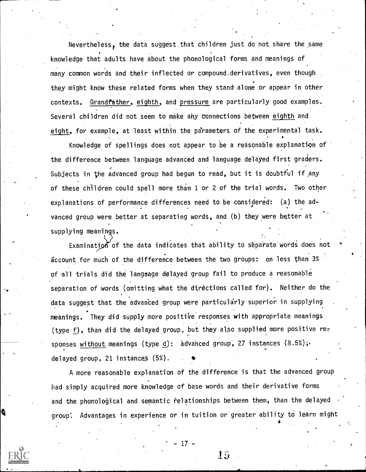Nevertheless, the data suggest that children just do not share the same knowledge that adults have about the phonological forms and meaning§ of many common words and their inflected or compound.derivatives, even though they might know these related forms when they stand alone or appear in other contexts. Grandfather, eighth, and pressure are particularly good examples. Several children did not seem to make ahy connections between eighth and eight, for example, at least within the parameters of the experimental task.

Knowledge of spellings does not appear to be a reasonable explanatton of the difference between language advanced and language delayed first graders. Subjects in the advanced group had begun to read, but it is doubtful if any of these children could spell more than 1 or 2 of the trial words. Two other explanations of performance differences need to be considered: (a) the advanced group were better at separating words, and (b) theywere better at supplying meanings.

Examination of the data indicates that ability to separate words does not account for much of the difference between the two groups: on less than 3% of .all trials did the language delayed group fail to produce a reasonable separation of words (omitting what the directions called for). Neither do the data suggest that the advanced group were particularly superior in supplying meanings. They did supply more positive responses with appropriate meanings (type f), than did the delayed group, but they also supplied more positive rer sponses without meanings (type d): advanced group, 27 instances (8.5%); delayed group, 21 instances (5%). \*

A more reasonable explanation of the difference is that the advanced-group had simply acquired more knowledge of base words and their derivative forms and the phonological and semantic relationships between them, than the delayed group: Advantages in experience or in tuition or greater ability to learn might

 $19$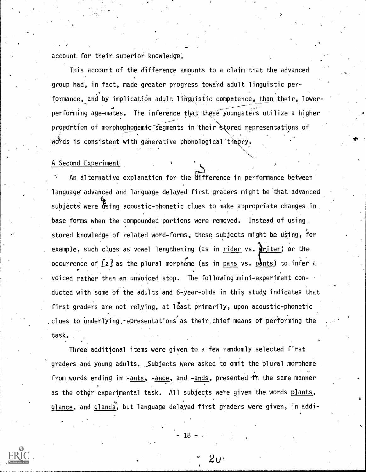account for their superior knowledge'.

This account of the difference amounts to a claim that the adyanced group had, in fact, made greater progress towdrd adult linguistic performance, and by implication adult linguistic competence, than their, lower- $\sim$   $\sim$ performing age-mates. The inference that these youngsters utilize a higher .<br>-- مستشركة المستشركة المستشركة المستشركة المستشركة المستشركة المستشركة المستشركة المستشركة المستشركة المستشركة proportion of morphopho<u>nemic segments in their st</u>ored representations of words is consistent with generative phonological theory. The consistent with generative phonological theory.

#### A Second Experiment

An alternative explanation for the difference in performance between language advanced and language delayed first graders might be that advanced subjects were using acoustic-phonetic clues to make appropriate changes in base forms when the compounded portions were removed. Instead of using stored knowledge of related word-forms, these subjects might be using, for example, such clues as vowel lengthening (as in rider vs.  $\sum$ riter) or the occurrence of  $[z]$  as the plural morpheme (as in pans vs. pants) to infer a voiced rather than an unvoiced stop. The following mini-experiment conducted with some of the adults and 6-year-olds in this study, indicates that first graders are not relying, at least primarily, upon acoustic-phonetic clues to underlying representations as their chief means of performing the task.

Three additional items were given to a few randomly selected first graders and young adults. Subjects were asked to omit the plural morpheme from words ending in -ants, -ance, and -ands, presented in the same manner as the other experimental task. All subjects were given the words plants, glance, and glands, but language delayed first graders were given, in addi-



18-

 $2\mathsf{u}$  .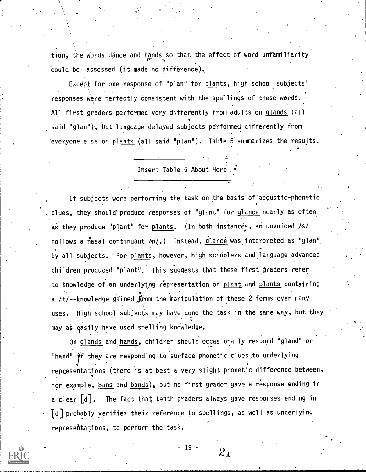tion, the words dance and hands so that the effect of word unfamiliarity could be assessed (it made no difference).

Except for one response of "plan" for plants, high school subjects' responses were perfectly consistent with the spellings of these words. All first graders performed very differently from adults on glands (all said "glan"), but language delayed subjects performed differently from everyone else on plants (all said "plan"). Table 5 summarizes the results.

Insert Table,5 About Here

4

If subjects were performing the task on the basis of acoustic-phonetic clues, they should' produce responses of "glant" for glance nearly as often as they produce "plant" for plants. (In both instances, an unvoiced  $/$ s/ follows a nasal continuant  $/n/$ .) Instead, glance was interpreted as "glan" by all subjects. For plants, however, high schoolers and language advanced children produced "plant". This suggests that these first graders refer to knowledge of an underlying representation of plant and'plants containing a /t/--knowledge gained  $\hat{\mathcal{F}}$ rom the manipulation of these 2 forms over many uses, High school subjects may have done the task in the same way, but they may as easily have used spelling knowledge.

On glands and hands, children should occasionally respond "gland" or "hand"  $\mathcal{H}$  they are responding to surface phonetic clues, to underlying representations (there is at best a very slight phonetic difference between,  $\alpha$ for example, bans and bands), but no first grader gave a response ending in a clear  $[d]$ . The fact that tenth graders always gave responses ending in [d] probably verifies their reference to spellings, as well as underlying representations, to perform the task.

- 19 -

 $2_{\perp}$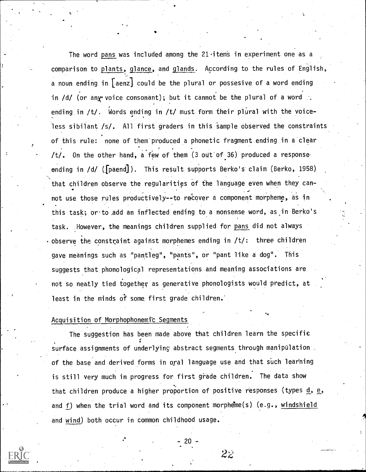The word pans was included among the  $21$  items in experiment one as a comparison to plants, glance, and glands. According to the rules of English, a noun ending in  $\lceil$  aenz $\rfloor$  could be the plural or possesive of a word ending in /d/ (or any voice consonant); but it cannot be the plural of a word ending in  $/t$ . Words ending in  $/t$  must form their plural with the voiceless sibilant /s/. All first graders in this Sample observed the constraints of this rule: none of them'produced a phonetic fragment ending in a clear /t/. On the other hand, a few of them (3 out'of 36) produced a response ending in /d/ ([paend]). This result supports Berko's claim (Berko, 1958) that children observe the regularities of the language even when they can-  $\bullet$  . The set of  $\bullet$ not use those rules productively--to recover a component morpheme, as in this task; or to add an inflected ending to a nonsense word, as in Berko's task. However, the meanings children supplied for pans did not always observe the constraint against morphemes ending in /t/: three children gave meanings such as 'pantleg", "pants", or "pant like a dog". This suggests that phonological representations and meaning associations are not so neatly tied together as generative phonologists would predict, at least in the minds of some first grade children.

#### Acquisition of Morphophonemit Segments

The suggestion has been made above that children learn the specific surface assignments of underlying abstract segments through manipulation. of the base and derived forms in oral language use and that such learning is still very much in progress for first grade children. The data show that children produce a higher proportion of positive responses (types  $d$ , e, and f) when the trial word and its component morpheme(s) (e.g., windshield and wind) both occur in common childhood usage.



- 20 -

 $2z$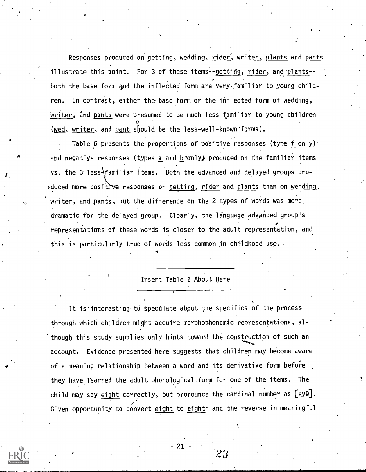Responses produced on'getting, wedding, rider', writer, plants and pants illustrate this point. For 3 of these items--getting, rider, and plants-both the base form and the inflected form are very familiar to young children. In contrast, either the base form or the inflected form of wedding, writer, ånd pants were presumed to be much less familiar to young children  $\partial$  and  $\partial$ (wed, writer, and pant should be the less-well-known forms).

Table 6 presents the proportions of positive responses (type f only) $\cdot$ and negative responses (types a and b only) produced on the familiar items vs. the 3 less familiar items. Both the advanced and delayed groups proeduced more positive responses on getting, rider and plants than on wedding, writer, and pants, but the difference on the 2 types of words was more, dramatic for the delayed group. Clearly, the language advanced group's representations of these words is closer to the adult representation, and this is particularly true of words less common in childhood use.

#### Insert Table 6 About Here

It is interesting to speculate about the specifics of the process through which children might acquire morphophonemic representations, although this study supplies only hints toward the construction of such an account. Evidence presented here suggests that children may become aware of a meaning relationship between a word and its derivative form before they have learned the adult phonological form for one of the items. The child may say eight correctly, but pronounce the cardinal number as  $[ey0]$ . Given opportunity to convert eight to eighth and the reverse in meaningful

 $-21$  -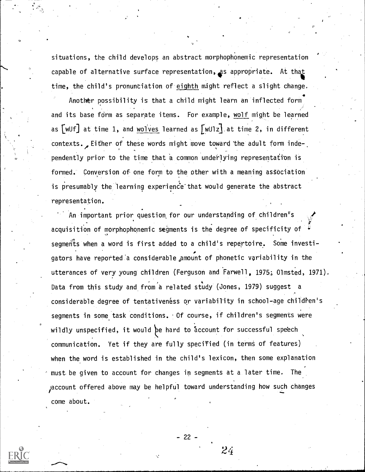situations, the child develops an abstract morphophonemic representation capable of alternative surface representation, as appropriate. At that time, the child's pronunciation of eighth might reflect a slight change.

 $\bullet$  and  $\bullet$ Another possibility is that a child might learn an inflected form and its base form as separate items. For example, wolf might be learned as  $\lceil \text{wUf} \rceil$  at time 1, and wolves learned as  $\lceil \text{wU1z} \rceil$  at time 2, in different contexts. Either of these words might move toward the adult form inde-. pendently prior to the time that a common underlying representation is formed. Conversion of one form to the other with a meaning astociation is presumably the learning experience that would generate the abstract representation,

An important prior question for our understanding of children<sup>r</sup>s acquisition of morphophonemic segments is the degree of specificity of segments when a word is first added to a child's repertoire. Some investigators have reported a considerable amount of phonetic variability in the utterances of very young children (Ferguson and Farwell, 1975; Olmsted, 1971). Data from this study and from a related study (Jones, 1979) suggest a considerable degree of tentativeness or variability in school-age children's segments in some task conditions. Of course, if children's segments were wildly unspecified, it would be hard to account for successful speech communication. Yet if they are fully specified (in terms of features) when the word is established in the child's lexicon, then some explanation  $^{\circ}$  must be given to account for changes in segments at a later time. The i i se na se account offered above may be helpful toward understanding how such changes come about.  $\overline{\phantom{a}}$ 



 $24$ 

- 22 -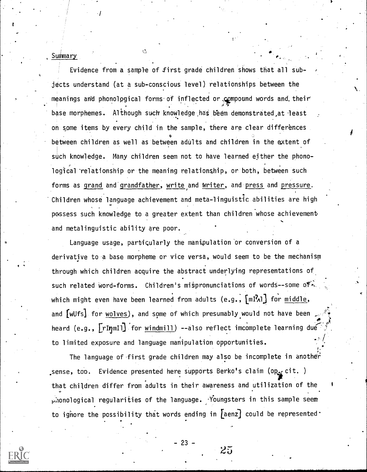Summary

Evidence from a sample of first grade children shows that all subjects understand (at a sub-conscious level) relationships between the meanings and phonological forms of inflected or compound words and their ,42r base morphemes. Although such knowledge has beem demonstrated at least on some items by every child in the sample, there are clear differences **P** Production between children as well as between adults and children in the extent of such knowledge. Many children seem not to have learned either the phonological relationship or the meaning relationship, or both, between such forms as grand and grandfather, write and writer, and press and pressure. Children whose language achievement and meta-linguistic abilities are high possess such knowledge to a greater extent than children whose achievement and metalinguistic ability are poor.

Language usage, particularly the manipulation or conversion of a derivative to a base morpheme or vice versa, would seem to be the mechanism through which children acquire the abstract underlying representations of such related word-forms. Children's mispronunciations of words--some ofwhich might even have been learned from adults (e.g.,  $\left[\mathfrak{mP_{\lambda}}\right]$  for  $\underline{\mathfrak{m}iddle}$ , and [wUfs] for wolves), and some of which presumably would not have been heard (e.g., [rInmIl] for windmill) --also reflect imcomplete learning due to limited exposure and language manipulation opportunities.

The language of first grade children may also be incomplete in another sense, too. Evidence presented here supports Berko's claim (op $_{\rm sf}$  cit. ) that children differ from adults in their awareness and utilization of the  $p$  ionological regularities of the language. Youngsters in this sample seem to ignore the possibility that words ending in  $[$ aenz $]$  could be represented



 $\frac{1}{2}$ 

-23-

 $25\,$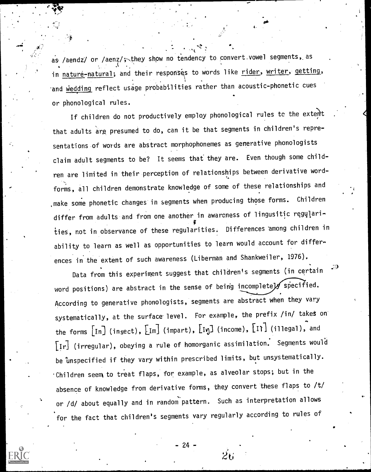as /aendz/ or /aenz/; they show no tendency to convert vowel segments, as in nature-natural; and their responses to words like rider, writer, getting, and wedding reflect usage probabilities rather than acoustic-phonetic cues or phonological rules.

la antikel<br>Listen antikel antikel antikel antikel antikel antikel antikel antikel antikel antikel antikel antikel antikel<br>Listen antikel antikel antikel antikel antikel antikel antikel antikel antikel antikel antikel antik

If children do not productively employ phonological rules to the extent that adults are presumed to do, can it be that segments in children's representations of words are abstract morphophonemes as generative phonologists claim adult segments to be? It seems that' they are. Even though some children are limited in their perception of relationships between derivative wordforms, all children demonstrate knowledge of some of these relationships and make some phonetic changes in segments when producing those forms. Children differ from adults and from one another in awarcness of lingusitic regularities, not in observance of these regularities. Differences 'among children in ability to learn as well as opportunities to learn would account for differences in the extent of such awareness (Liberman and Shankweiler, 1976).

Data from this experiment suggest that children's segments (in certain word positions) are abstract in the sense of being incompletely specified. According to generative phonologists, segments are abstract when they vary systematically, at the surface level. For example, the prefix /in/ takes on the forms  $\begin{bmatrix} \text{In} \end{bmatrix}$  (insect),  $\begin{bmatrix} \text{Im} \end{bmatrix}$  (impart),  $\begin{bmatrix} \text{In} \end{bmatrix}$  (income),  $\begin{bmatrix} \text{I} \end{bmatrix}$  (illegal), and  $\lfloor r \rfloor$  (irregular), obeying a rule of homorganic assimilation. Segments would be unspecified if they vary within prescribed limits, but unsystematically.  $\cdot$ Children seem to treat flaps, for example, as alveolar stops; but in the absence of knowledge from derivative forms, they convert these flaps to /t/ or /d/ about equally and in random pattern. Such as interpretation allows for the fact that children's segments vary regularly according to rules of

24

だげ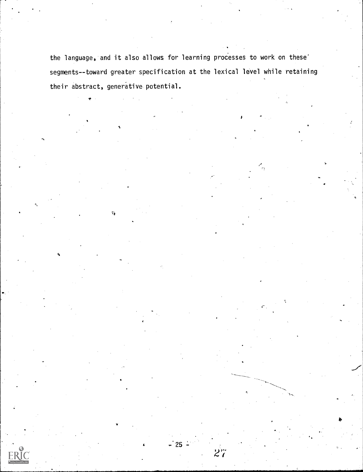the language, and it also allows for learning processes to work on these' segments--toward greater specification at the lexical level while retaining their abstract, generative potential.

Ŧ.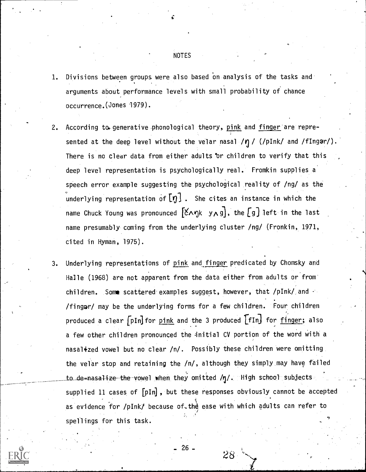#### NOTES

- 1. Divisions between groups were also based On analysis of the tasks and arguments about performance levels with small probability of chance occurrence.(Jones 1979).
- 2. According to generative phonological theory, pink and finger are represented at the deep level without the velar nasal /n / (/pInk/ and /fIngar/). There is no clear data from either adults or children to verify that this deep level representation is psychologically real. Fromkin supplies a speech error example suggesting the psychological reality of /ng/ as the underlying representation of  $\llbracket \eta \rrbracket$  . She cites an instance in which the name Chuck Young was pronounced  $[\xi \wedge \eta k \ y \wedge g]$ , the  $[g]$  left in the last name presumably coming from the underlying cluster /ng/ (Fronkin, 1971, cited in Hyman, 1975).
- 3. Underlying representations of pink and finger predicated by Chomsky and Halle (1968) are not apparent from the data either from adults or from children. Some scattered examples suggest, however, that /pInk/ and /fingar/ may be the underlying forms for a few children. Four children produced a clear  $pIn]$  for  $p.ink$  and the 3 produced  $IfIn]$  for  $finger$ ; also a few other children pronounced the initial CV portion of the word with a nasalized vowel but no clear /n/. Possibly these children were omitting the velar stop and retaining the /n/, although they simply may have failed to de=nasa<del>lize the v</del>owel when they omitted /ŋ/. High school subjects supplied 11 cases of  $[pIn]$ , but these responses obviously cannot be accepted as evidence for /pInk/ because of the ease with which adults can refer to spellings for this task.

- 26-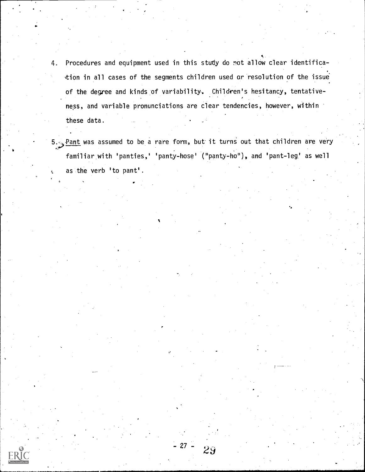- 4. Procedures and equipment used in this stuty do not allow clear identification in all cases of the segments children used or resolution of the issue' of the degree and kinds of variability. Children's hesitancy, tentative- , ness, and variable pronunciations are clear tendencies, however, within these data.
- $5.\leq$  Pant was assumed to be a rare form, but it turns out that children are very familiar with 'panties,' 'panty-hose' ("panty-ho"), and 'pant-leg' as well as .the verb 'to pant'.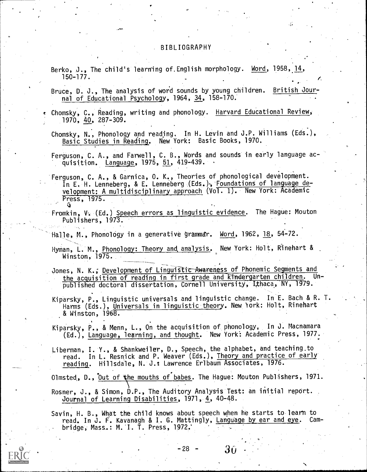#### BIBLIOGRAPHY

- Berko, J., The child's learning of English morphology. Word, 1958, 14, 150-177.
- Bruce, D. J., The analysis of word sounds by young children. British Journal of Educational Psychology, 1964, 34, 158-170.
- Chomsky, C., Reading, writing and phonology. Harvard Educational Review, 1970, 40, 287-309.
- Chomsky, N., Phonology and reading. In H. Levin and J.P. Williams (Eds.), Basic Studies in Reading. New York: Basic Books, 1970.
- Ferguson, C. A., and Farwell, C. B., Words and sounds in early language acquisition. Language, 1975, 51, 419-439. .
- Ferguson, C. A., & Garnica, O. K., Theories of phonological development. In E. H. Lenneberg, & E. Lenneberg (Eds.), Foundations of language development: A multidisciplinary approach  $(\sqrt{01} \cdot 1)$ . New York: Academic Press, 1975.
- Fromkin, V. (Ed.) Speech errors as linguistic evidence. The Hague: Mouton Publishers, 1973.
- Hal1e, M., Phonology in a generative grammar. Word, 1962, 18, 54-72.
- Hyman, L. M., Phonology: Theory and, analysis. New York: Holt, Rinehart & Winston, 1975.
- Jones, N. K.; Development of Linguistic Awareness of Phonemic Segments and the acquisition of reading in first grade and-kfndergarten children. Unpublished doctoral dissertation, Cornell University; Ithaca,'NY, 1979.
- Kiparsky, P., Linguistic universals and linguistic change. In E. Bach & R. T. Harms (Eds.), Universals in linguistic theory. New York: Holt, Rinehart .& Winston, 1968.
- Kiparsky, P., & Menn, L., On the acquisition of phonology. In J. Macnamara (Ed.), Language, learning, and thought. New York: Academic Press, 1977.

Liberman, I. Y., & Shankweiler, D., Speech, the alphabet, and teaching.to read. In L. Resnick and P. Weaver (Eds.), Theory and practice of early reading. Hillsdale, N. J.: Lawrence Erlbaum Associates, 1976.

Olmsted, D., Out of the mouths of babes. The Hague: Mouton Publishers, 1971. Rosner, J., & Simon, D.P., The Auditory Analysis Test: an initial report. Journal of Learning Disabilities, 1971, 4, 40-48.

Savin, H. B., What the child knows about speech when he starts to learn to read. In J. F. Kavanagh & I. G. Mattingly, Language by ear and eye. Cam-. bridge, Mass..: M. I. T. Press, 1972:

 $-28$  -  $30$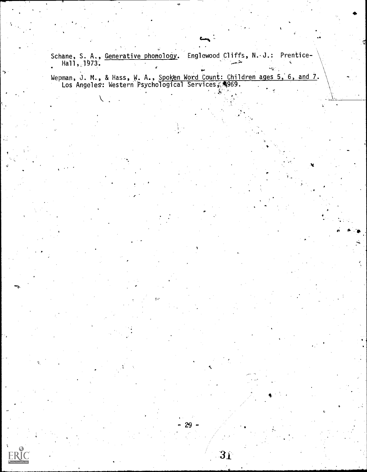Schane, S. A., <u>Generative phonology</u>. Englewood Cliffs,N. J.: Prentice-Hall, 1973.  $\blacksquare$ 

Wepman, J. M., & Hass, W. A., Spoken Word Count: Children ages 5, 6, and 7.  $\hspace{0.1cm}$  . Los Angeles: Western Psychological Services, A969.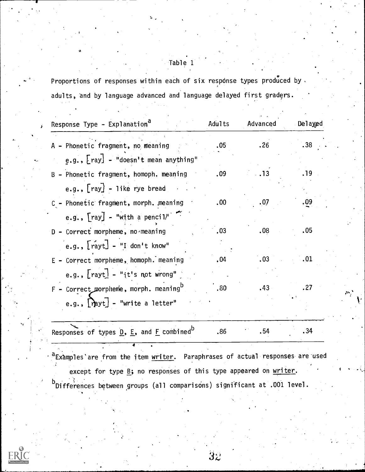Table 1

Proportions of responses within each of six response types produced by, adults, and by language advanced and language delayed first graders.

| Response Type - Explanation <sup>d</sup>                                                         | Adults           | Advanced         | Delayed          |                             |
|--------------------------------------------------------------------------------------------------|------------------|------------------|------------------|-----------------------------|
| A - Phonetic fragment, no meaning                                                                | .05 <sub>1</sub> | .26              | .38              |                             |
| e.g., $\lceil \text{ray} \rceil$ - "doesn't mean anything"                                       |                  |                  |                  |                             |
| B - Phonetic fragment, homoph. meaning                                                           | .09              |                  | .19 <sup>°</sup> |                             |
| e.g., $\lceil ray \rceil$ - like rye bread                                                       |                  |                  |                  |                             |
| C - Phonetic fragment, morph. meaning                                                            | .00.             | .07              | .09              |                             |
| e.g., $\lceil \text{ray} \rceil$ - "with a pencil"                                               |                  |                  |                  |                             |
| D - Correct morpheme, no meaning                                                                 | .03              | .08              | .05              |                             |
| $[e.g., [r\acute{a}yt] - "I don't know"$                                                         |                  |                  |                  |                             |
| E - Correct morpheme, homoph. meaning                                                            | .04              | .03              | $\ldots$ 01      |                             |
| e.g., $\lceil \text{rayt} \rceil$ - "it's not wrong"                                             |                  |                  |                  |                             |
| $F$ - Correct morpheme, morph. meaning <sup>b</sup>                                              | .80              | .43 <sub>•</sub> | .27              | $\mathcal{D}_{\mathcal{A}}$ |
| e.g., $[\hat{m}$ yt] - "write a letter"                                                          |                  |                  |                  |                             |
| Responses of types $\underline{D}$ , $\underline{E}$ , and $\underline{F}$ combined <sup>D</sup> | .86              | .54              | .34              |                             |

a Examples'are from the item writer. Paraphrases of actual responses are used except for type  $\underline{B}$ ; no responses of this type appeared on  $\underline{writer}$ . b Differences between groups (all comparisons) significant at .001 level.

4

 $3\overline{z}$ 

k'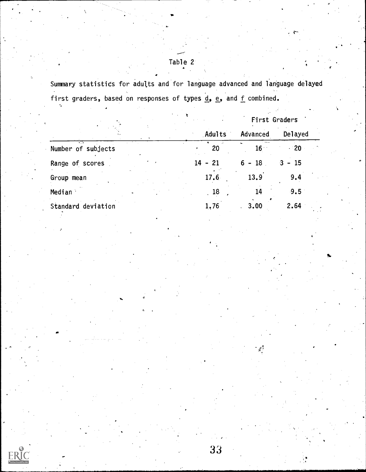Table 2

Summary statistics for adults and for language advanced and language delayed first graders, based on responses of types  $d_2$ ,  $e_3$ , and f combined.

|                           |          |                    | First Graders |  |
|---------------------------|----------|--------------------|---------------|--|
|                           | Adults   | Advanced           | Delayed       |  |
| काल<br>Number of subjects | 20       | $16 -$             | $-20$         |  |
| Range of scores           | 14<br>21 | <b>18</b><br>$6 -$ | $3 - 15$      |  |
| Group mean                | 17.6     | 13.9               | 9.4           |  |
| Median                    | .18      | 14                 | 9.5           |  |
| Standard deviation        | 1,76     | 3.00               | 2.64          |  |

ER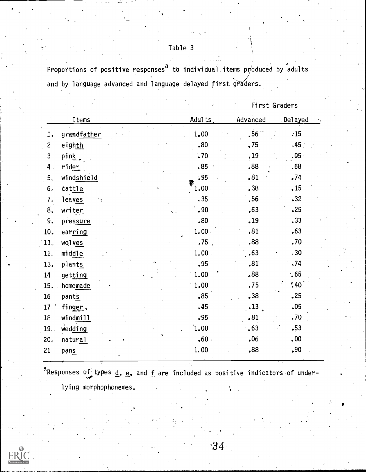Table 3

Proportions of positive responses<sup>a</sup> to individual items produced by adults and by language advanced and language delayed first graders.

First Graders

|                 | Items       | Adults   | Advanced | Delayed          |  |
|-----------------|-------------|----------|----------|------------------|--|
| 1.              | grandfather | 1.00     | .56      | .15              |  |
| $\overline{c}$  | eighth      | .80      | ,75      | .45 <sub>1</sub> |  |
| 3               | pink        | .70      | .19      | .05.             |  |
| 4 <sup>1</sup>  | rider       | .85      | .88      | .68              |  |
| 5.              | windshield  | .95<br>微 | .81      | .74              |  |
| 6 <sub>o</sub>  | cattle      | $1.00 -$ | .38      | .15              |  |
| 7.              | leaves      | .35.     | .56      | •32              |  |
| 8 <sub>o</sub>  | writer      | .90      | .63      | .25              |  |
| 9.              | pressure    | .80      | .19      | .33              |  |
| 10.             | earring     | 1.00     | .81      | .63              |  |
| 11.             | wolves      | $.75$ .  | .88      | .70              |  |
| 12 <sub>c</sub> | middle      | 1.00     | .63      | .30              |  |
| 13.             | plants      | .95      | ,81      | .74              |  |
| 14              | getting     | 1.00     | .88      | $\cdot$ , 65     |  |
| 15.             | homemade    | 1.00     | .75      | $\frac{1}{2}40$  |  |
| 16              | pants       | .85      | .38      | .25              |  |
| 17              | finger.     | .45      | .13      | .05              |  |
| 18              | windmill    | .95      | •81      | .70              |  |
| 19.             | wedding     | ነ.00     | •63      | $-53$            |  |
| 20 <sub>o</sub> | natural     | .60.     | .06      | .00.             |  |
| 21              | pans        | 1.00     | ,88      | ,90              |  |

Responses of types  $\underline{\mathsf{d}}$ ,  $\underline{\mathsf{e}}$ , and  $\underline{\mathsf{f}}$  are included as positive indicators of under-  $\qquad$ 

lying morphophonemes.

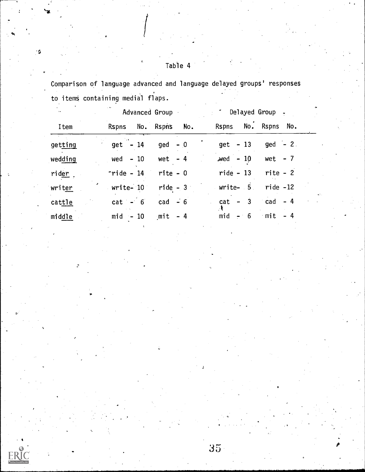$\mathbf 6$ 

Comparison of language advanced and language delayed groups' responses to items containing medial flaps.

| $\ddot{\phantom{a}}$ |               | Advanced Group      | * Delayed Group -    |             |             |
|----------------------|---------------|---------------------|----------------------|-------------|-------------|
| Item                 |               | Rspns No. Rspns No. | Rspns No. Rspns No.  |             |             |
| getting              | $get - 14$    | $ged - 0$           | $get - 13$           | $ged - 2$ . |             |
| wedding              | wed $-10$     | wet $-4$            | $wed - 10$           | wet $-7$    |             |
| rider.               | $r$ ride - 14 | rite - O            | $ride - 13$          | $rite - 2$  |             |
| writer               | write-10      | $ride - 3$          | $Write-5$ ride $-12$ |             | $\sim 20\%$ |
| cattle               | $cat - 6$     | cad $-6$            | $cat - 3$ $cad - 4$  |             |             |
| midde                | $mid - 10$    | $mit - 4$           | $mid - 6$            | $mit - 4$   |             |

 $35<sub>1</sub>$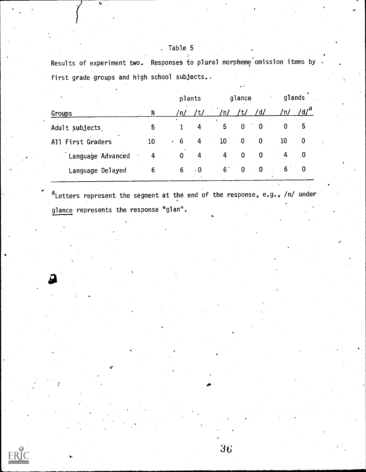| Results of experiment two. Responses to plural morpheme omission items by . |  |  |  |  |  |
|-----------------------------------------------------------------------------|--|--|--|--|--|
|                                                                             |  |  |  |  |  |
| first grade groups and high school subjects                                 |  |  |  |  |  |

| $\circ$           |       |                | plants    |                 | glance      |          |           | glands |  |
|-------------------|-------|----------------|-----------|-----------------|-------------|----------|-----------|--------|--|
| Groups            | N     | /n/            | /t/       | 'n/             |             | ′d∕      | 'n/       |        |  |
| Adult subjects    | 5     |                | 4         | 5               | $\mathbf 0$ | 0        | 0         | 5      |  |
| All First Graders | $-10$ | 6<br>$\bullet$ | 4         | 10 <sub>1</sub> | 0           | 0        | 10        | 0      |  |
| Language Advanced | 4     | $\bf{0}$       | 4         | 4               | $\Omega$    | 0        | 4         | 0      |  |
| Language Delayed  | 6     | 6              | $\cdot$ 0 | 6.              | - 0         | $\bf{0}$ | $6 \cdot$ |        |  |

a<sub>Letters</sub> represent the segment at the end of the response, e.g., /n/ under glance represents the response "glan".

36

**I**II

# . Table 5